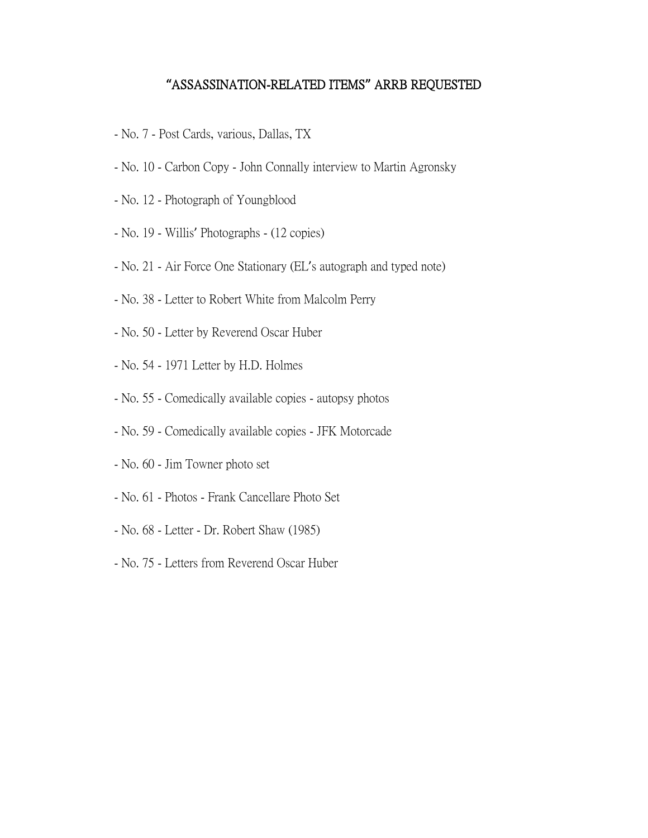## **"**ASSASSINATION-RELATED ITEMS**"** ARRB REQUESTED

- No. 7 Post Cards, various, Dallas, TX
- No. 10 Carbon Copy John Connally interview to Martin Agronsky
- No. 12 Photograph of Youngblood
- No. 19 Willis' Photographs (12 copies)
- No. 21 Air Force One Stationary (EL's autograph and typed note)
- No. 38 Letter to Robert White from Malcolm Perry
- No. 50 Letter by Reverend Oscar Huber
- No. 54 1971 Letter by H.D. Holmes
- No. 55 Comedically available copies autopsy photos
- No. 59 Comedically available copies JFK Motorcade
- No. 60 Jim Towner photo set
- No. 61 Photos Frank Cancellare Photo Set
- No. 68 Letter Dr. Robert Shaw (1985)
- No. 75 Letters from Reverend Oscar Huber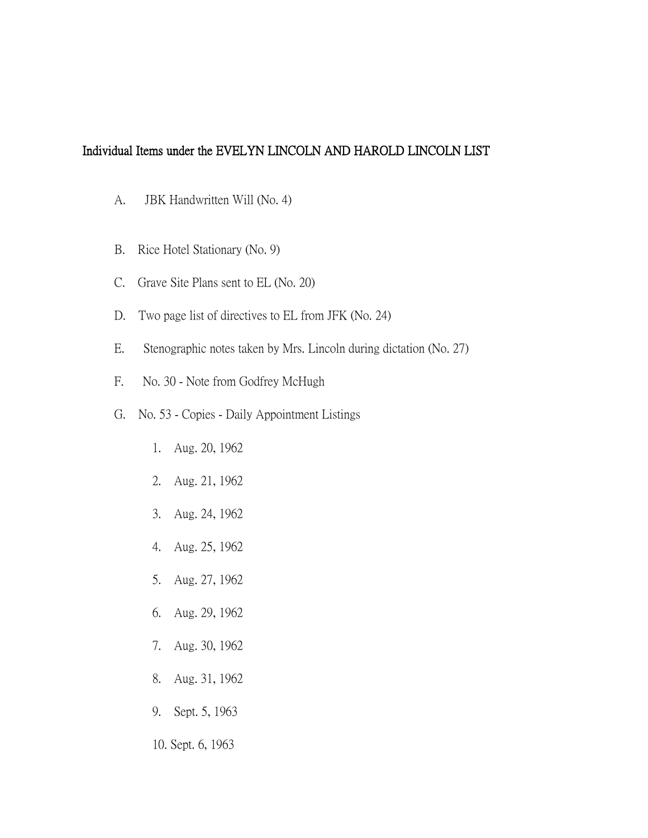## Individual Items under the EVELYN LINCOLN AND HAROLD LINCOLN LIST

- A. JBK Handwritten Will (No. 4)
- B. Rice Hotel Stationary (No. 9)
- C. Grave Site Plans sent to EL (No. 20)
- D. Two page list of directives to EL from JFK (No. 24)
- E. Stenographic notes taken by Mrs. Lincoln during dictation (No. 27)
- F. No. 30 Note from Godfrey McHugh
- G. No. 53 Copies Daily Appointment Listings
	- 1. Aug. 20, 1962
	- 2. Aug. 21, 1962
	- 3. Aug. 24, 1962
	- 4. Aug. 25, 1962
	- 5. Aug. 27, 1962
	- 6. Aug. 29, 1962
	- 7. Aug. 30, 1962
	- 8. Aug. 31, 1962
	- 9. Sept. 5, 1963
	- 10. Sept. 6, 1963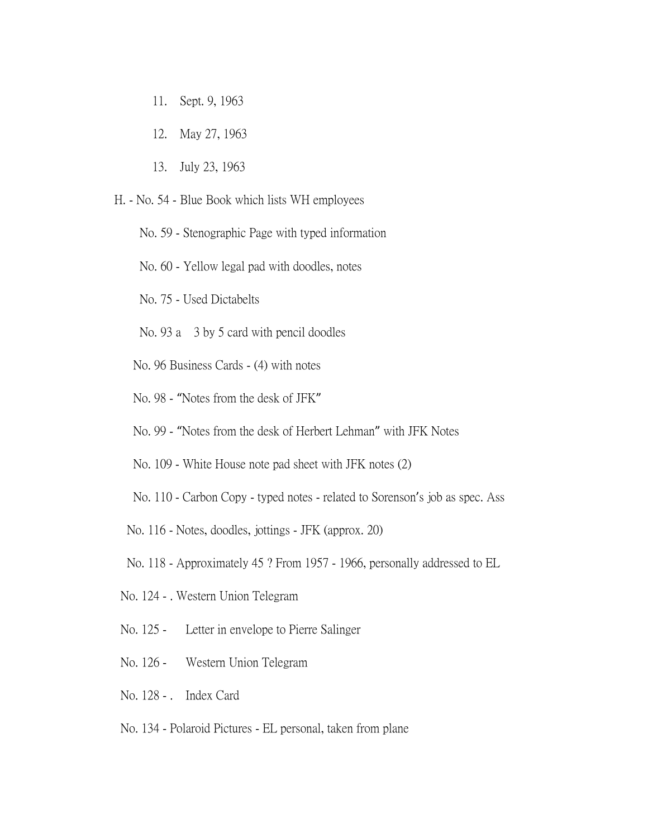- 11. Sept. 9, 1963
- 12. May 27, 1963
- 13. July 23, 1963
- H. No. 54 Blue Book which lists WH employees
	- No. 59 Stenographic Page with typed information
	- No. 60 Yellow legal pad with doodles, notes
	- No. 75 Used Dictabelts
	- No. 93 a 3 by 5 card with pencil doodles
	- No. 96 Business Cards (4) with notes
	- No. 98 "Notes from the desk of JFK"
	- No. 99 "Notes from the desk of Herbert Lehman" with JFK Notes
	- No. 109 White House note pad sheet with JFK notes (2)
	- No. 110 Carbon Copy typed notes related to Sorenson's job as spec. Ass
	- No. 116 Notes, doodles, jottings JFK (approx. 20)
	- No. 118 Approximately 45 ? From 1957 1966, personally addressed to EL
	- No. 124 . Western Union Telegram
	- No. 125 Letter in envelope to Pierre Salinger
	- No. 126 Western Union Telegram
	- No. 128 . Index Card
	- No. 134 Polaroid Pictures EL personal, taken from plane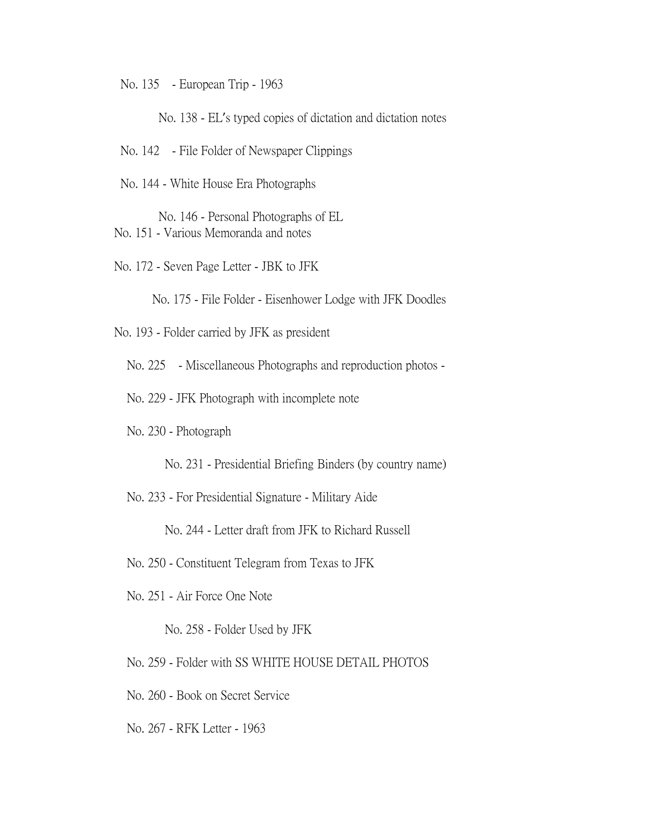No. 135 - European Trip - 1963

No. 138 - EL's typed copies of dictation and dictation notes

No. 142 - File Folder of Newspaper Clippings

No. 144 - White House Era Photographs

 No. 146 - Personal Photographs of EL No. 151 - Various Memoranda and notes

No. 172 - Seven Page Letter - JBK to JFK

No. 175 - File Folder - Eisenhower Lodge with JFK Doodles

No. 193 - Folder carried by JFK as president

No. 225 - Miscellaneous Photographs and reproduction photos -

No. 229 - JFK Photograph with incomplete note

No. 230 - Photograph

No. 231 - Presidential Briefing Binders (by country name)

No. 233 - For Presidential Signature - Military Aide

No. 244 - Letter draft from JFK to Richard Russell

No. 250 - Constituent Telegram from Texas to JFK

No. 251 - Air Force One Note

No. 258 - Folder Used by JFK

No. 259 - Folder with SS WHITE HOUSE DETAIL PHOTOS

No. 260 - Book on Secret Service

No. 267 - RFK Letter - 1963